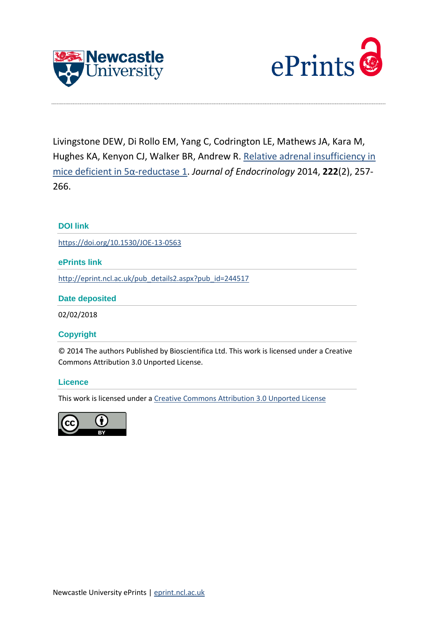



Livingstone DEW, Di Rollo EM, Yang C, Codrington LE, Mathews JA, Kara M, Hughes KA, Kenyon CJ, Walker BR, Andrew R. [Relative adrenal insufficiency in](http://eprint.ncl.ac.uk/pub_details2.aspx?pub_id=244517)  [mice deficient in 5α](http://eprint.ncl.ac.uk/pub_details2.aspx?pub_id=244517)-reductase 1. *Journal of Endocrinology* 2014, **222**(2), 257- 266.

# **DOI link**

<https://doi.org/10.1530/JOE-13-0563>

# **ePrints link**

[http://eprint.ncl.ac.uk/pub\\_details2.aspx?pub\\_id=244517](http://eprint.ncl.ac.uk/pub_details2.aspx?pub_id=244517)

# **Date deposited**

02/02/2018

# **Copyright**

© 2014 The authors Published by Bioscientifica Ltd. This work is licensed under a Creative Commons Attribution 3.0 Unported License.

# **Licence**

This work is licensed under a [Creative Commons Attribution 3.0 Unported License](http://creativecommons.org/licenses/by/3.0/)

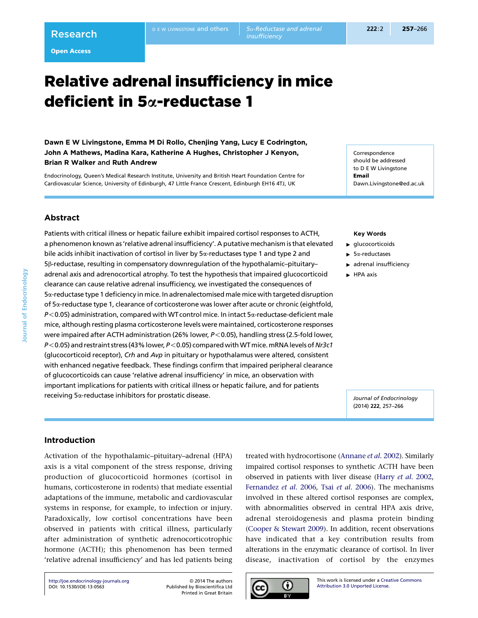# Relative adrenal insufficiency in mice deficient in 5<sub> $\alpha$ -reductase 1</sub>

Dawn E W Livingstone, Emma M Di Rollo, Chenjing Yang, Lucy E Codrington, John A Mathews, Madina Kara, Katherine A Hughes, Christopher J Kenyon, Brian R Walker and Ruth Andrew

Endocrinology, Queen's Medical Research Institute, University and British Heart Foundation Centre for Cardiovascular Science, University of Edinburgh, 47 Little France Crescent, Edinburgh EH16 4TJ, UK

# Abstract

Patients with critical illness or hepatic failure exhibit impaired cortisol responses to ACTH, a phenomenon known as 'relative adrenal insufficiency'. A putative mechanism is that elevated bile acids inhibit inactivation of cortisol in liver by 5a-reductases type 1 and type 2 and 5b-reductase, resulting in compensatory downregulation of the hypothalamic–pituitary– adrenal axis and adrenocortical atrophy. To test the hypothesis that impaired glucocorticoid clearance can cause relative adrenal insufficiency, we investigated the consequences of 5a-reductase type 1 deficiency in mice. In adrenalectomised male mice with targeted disruption of 5a-reductase type 1, clearance of corticosterone was lower after acute or chronic (eightfold,  $P$  < 0.05) administration, compared with WT control mice. In intact 5 $\alpha$ -reductase-deficient male mice, although resting plasma corticosterone levels were maintained, corticosterone responses were impaired after ACTH administration (26% lower, P<0.05), handling stress (2.5-fold lower,  $P < 0.05$ ) and restraint stress (43% lower, P $<$  0.05) compared with WT mice. mRNA levels of Nr3c1 (glucocorticoid receptor), Crh and Avp in pituitary or hypothalamus were altered, consistent with enhanced negative feedback. These findings confirm that impaired peripheral clearance of glucocorticoids can cause 'relative adrenal insufficiency' in mice, an observation with important implications for patients with critical illness or hepatic failure, and for patients receiving 5a-reductase inhibitors for prostatic disease.

Correspondence should be addressed to D E W Livingstone Email Dawn.Livingstone@ed.ac.uk

#### Key Words

- $\blacktriangleright$  glucocorticoids
- $\blacktriangleright$  5 $\alpha$ -reductases
- $\blacktriangleright$  adrenal insufficiency
- $\blacktriangleright$  HPA axis

Journal of Endocrinology (2014) 222, 257–266

Activation of the hypothalamic–pituitary–adrenal (HPA) axis is a vital component of the stress response, driving production of glucocorticoid hormones (cortisol in humans, corticosterone in rodents) that mediate essential adaptations of the immune, metabolic and cardiovascular systems in response, for example, to infection or injury. Paradoxically, low cortisol concentrations have been observed in patients with critical illness, particularly after administration of synthetic adrenocorticotrophic hormone (ACTH); this phenomenon has been termed 'relative adrenal insufficiency' and has led patients being

treated with hydrocortisone [\(Annane](#page-9-0) et al. 2002). Similarly impaired cortisol responses to synthetic ACTH have been observed in patients with liver disease (Harry et al[. 2002,](#page-9-0) [Fernandez](#page-9-0) et al. 2006, Tsai et al[. 2006](#page-10-0)). The mechanisms involved in these altered cortisol responses are complex, with abnormalities observed in central HPA axis drive, adrenal steroidogenesis and plasma protein binding ([Cooper & Stewart 2009](#page-9-0)). In addition, recent observations have indicated that a key contribution results from alterations in the enzymatic clearance of cortisol. In liver disease, inactivation of cortisol by the enzymes



This work is licensed under a [Creative Commons](http://creativecommons.org/licenses/by/3.0/deed.en_GB) [Attribution 3.0 Unported License.](http://creativecommons.org/licenses/by/3.0/deed.en_GB)

insufficiency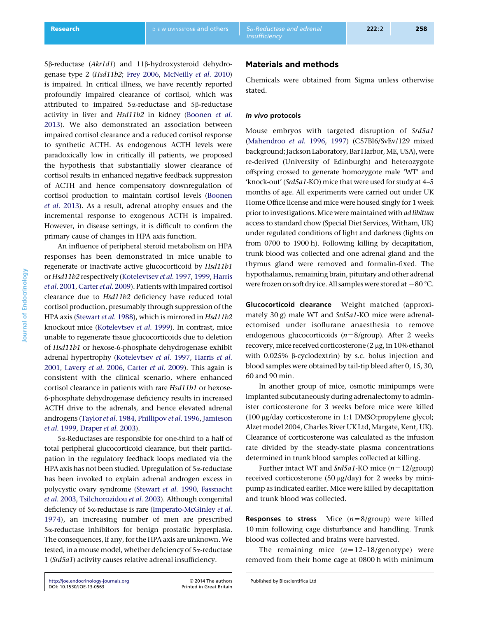5β-reductase (Akr1d1) and 11β-hydroxysteroid dehydrogenase type 2 (Hsd11b2; [Frey 2006](#page-9-0), [McNeilly](#page-10-0) et al. 2010) is impaired. In critical illness, we have recently reported profoundly impaired clearance of cortisol, which was attributed to impaired 5a-reductase and 5b-reductase activity in liver and Hsd11b2 in kidney [\(Boonen](#page-9-0) et al. [2013](#page-9-0)). We also demonstrated an association between impaired cortisol clearance and a reduced cortisol response to synthetic ACTH. As endogenous ACTH levels were paradoxically low in critically ill patients, we proposed the hypothesis that substantially slower clearance of cortisol results in enhanced negative feedback suppression of ACTH and hence compensatory downregulation of cortisol production to maintain cortisol levels ([Boonen](#page-9-0) et al[. 2013](#page-9-0)). As a result, adrenal atrophy ensues and the incremental response to exogenous ACTH is impaired. However, in disease settings, it is difficult to confirm the primary cause of changes in HPA axis function.

An influence of peripheral steroid metabolism on HPA responses has been demonstrated in mice unable to regenerate or inactivate active glucocorticoid by Hsd11b1 or Hsd11b2 respectively [\(Kotelevtsev](#page-10-0) et al. 1997, [1999,](#page-10-0) [Harris](#page-9-0) et al[. 2001](#page-9-0), [Carter](#page-9-0) et al. 2009). Patients with impaired cortisol clearance due to Hsd11b2 deficiency have reduced total cortisol production, presumably through suppression of the HPA axis ([Stewart](#page-10-0) et al. 1988), which is mirrored in Hsd11b2 knockout mice [\(Kotelevtsev](#page-10-0) et al. 1999). In contrast, mice unable to regenerate tissue glucocorticoids due to deletion of Hsd11b1 or hexose-6-phosphate dehydrogenase exhibit adrenal hypertrophy [\(Kotelevtsev](#page-10-0) et al. 1997, [Harris](#page-9-0) et al. [2001,](#page-9-0) [Lavery](#page-10-0) et al. 2006, Carter et al[. 2009\)](#page-9-0). This again is consistent with the clinical scenario, where enhanced cortisol clearance in patients with rare Hsd11b1 or hexose-6-phosphate dehydrogenase deficiency results in increased ACTH drive to the adrenals, and hence elevated adrenal androgens [\(Taylor](#page-10-0) et al. 1984, [Phillipov](#page-10-0) et al. 1996, [Jamieson](#page-10-0) et al[. 1999,](#page-10-0) [Draper](#page-9-0) et al. 2003).

5a-Reductases are responsible for one-third to a half of total peripheral glucocorticoid clearance, but their participation in the regulatory feedback loops mediated via the HPA axis has not been studied. Upregulation of 5a-reductase has been invoked to explain adrenal androgen excess in polycystic ovary syndrome ([Stewart](#page-10-0) et al. 1990, [Fassnacht](#page-9-0) et al[. 2003](#page-9-0), [Tsilchorozidou](#page-10-0) et al. 2003). Although congenital deficiency of 5*a*-reductase is rare ([Imperato-McGinley](#page-10-0) et al. [1974\)](#page-10-0), an increasing number of men are prescribed 5a-reductase inhibitors for benign prostatic hyperplasia. The consequences, if any, for the HPA axis are unknown. We tested, in a mouse model, whether deficiency of 5a-reductase 1 (Srd5a1) activity causes relative adrenal insufficiency.

# Materials and methods

Chemicals were obtained from Sigma unless otherwise stated.

#### In vivo protocols

Mouse embryos with targeted disruption of Srd5a1 ([Mahendroo](#page-10-0) et al. 1996, [1997\)](#page-10-0) (C57Bl6/SvEv/129 mixed background; Jackson Laboratory, Bar Harbor, ME, USA), were re-derived (University of Edinburgh) and heterozygote offspring crossed to generate homozygote male 'WT' and 'knock-out' (Srd5a1-KO) mice that were used for study at 4–5 months of age. All experiments were carried out under UK Home Office license and mice were housed singly for 1 week prior to investigations. Mice were maintained with ad libitum access to standard chow (Special Diet Services, Witham, UK) under regulated conditions of light and darkness (lights on from 0700 to 1900 h). Following killing by decapitation, trunk blood was collected and one adrenal gland and the thymus gland were removed and formalin-fixed. The hypothalamus, remaining brain, pituitary and other adrenal were frozen on soft dry ice. All samples were stored at  $-80$  °C.

Glucocorticoid clearance Weight matched (approximately 30 g) male WT and Srd5a1-KO mice were adrenalectomised under isoflurane anaesthesia to remove endogenous glucocorticoids  $(n=8/\text{group})$ . After 2 weeks recovery, mice received corticosterone  $(2 \mu g)$ , in 10% ethanol with  $0.025\%$   $\beta$ -cyclodextrin) by s.c. bolus injection and blood samples were obtained by tail-tip bleed after 0, 15, 30, 60 and 90 min.

In another group of mice, osmotic minipumps were implanted subcutaneously during adrenalectomy to administer corticosterone for 3 weeks before mice were killed (100 mg/day corticosterone in 1:1 DMSO:propylene glycol; Alzet model 2004, Charles River UK Ltd, Margate, Kent, UK). Clearance of corticosterone was calculated as the infusion rate divided by the steady-state plasma concentrations determined in trunk blood samples collected at killing.

Further intact WT and  $Srd5a1$ -KO mice ( $n=12$ /group) received corticosterone (50  $\mu$ g/day) for 2 weeks by minipump as indicated earlier. Mice were killed by decapitation and trunk blood was collected.

**Responses to stress** Mice  $(n=8/\text{group})$  were killed 10 min following cage disturbance and handling. Trunk blood was collected and brains were harvested.

The remaining mice  $(n=12-18/\text{genotype})$  were removed from their home cage at 0800 h with minimum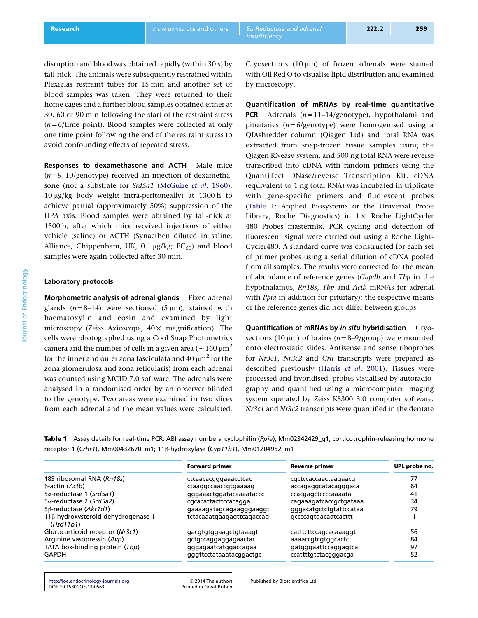disruption and blood was obtained rapidly (within 30 s) by tail-nick. The animals were subsequently restrained within Plexiglas restraint tubes for 15 min and another set of blood samples was taken. They were returned to their home cages and a further blood samples obtained either at 30, 60 or 90 min following the start of the restraint stress  $(n=6/time$  point). Blood samples were collected at only one time point following the end of the restraint stress to avoid confounding effects of repeated stress.

Responses to dexamethasone and ACTH Male mice  $(n=9-10/genotype)$  received an injection of dexametha-sone (not a substrate for Srd5a1 ([McGuire](#page-10-0) et al. 1960),  $10 \mu$ g/kg body weight intra-peritoneally) at  $1300$  h to achieve partial (approximately 50%) suppression of the HPA axis. Blood samples were obtained by tail-nick at 1500 h, after which mice received injections of either vehicle (saline) or ACTH (Synacthen diluted in saline, Alliance, Chippenham, UK, 0.1  $\mu$ g/kg; EC<sub>50</sub>) and blood samples were again collected after 30 min.

# Laboratory protocols

Morphometric analysis of adrenal glands Fixed adrenal glands ( $n=8-14$ ) were sectioned (5  $\mu$ m), stained with haematoxylin and eosin and examined by light microscopy (Zeiss Axioscope,  $40 \times$  magnification). The cells were photographed using a Cool Snap Photometrics camera and the number of cells in a given area ( $\sim$ 160  $\mu$ m<sup>2</sup> for the inner and outer zona fasciculata and 40  $\mu$ m<sup>2</sup> for the zona glomerulosa and zona reticularis) from each adrenal was counted using MCID 7.0 software. The adrenals were analysed in a randomised order by an observer blinded to the genotype. Two areas were examined in two slices from each adrenal and the mean values were calculated.

Cryosections  $(10 \mu m)$  of frozen adrenals were stained with Oil Red O to visualise lipid distribution and examined by microscopy.

Quantification of mRNAs by real-time quantitative **PCR** Adrenals  $(n=11-14/\text{genotype})$ , hypothalami and pituitaries  $(n=6$ /genotype) were homogenised using a QIAshredder column (Qiagen Ltd) and total RNA was extracted from snap-frozen tissue samples using the Qiagen RNeasy system, and 500 ng total RNA were reverse transcribed into cDNA with random primers using the QuantiTect DNase/reverse Transcription Kit. cDNA (equivalent to 1 ng total RNA) was incubated in triplicate with gene-specific primers and fluorescent probes (Table 1: Applied Biosystems or the Universal Probe Library, Roche Diagnostics) in  $1 \times$  Roche LightCycler 480 Probes mastermix. PCR cycling and detection of fluorescent signal were carried out using a Roche Light-Cycler480. A standard curve was constructed for each set of primer probes using a serial dilution of cDNA pooled from all samples. The results were corrected for the mean of abundance of reference genes (Gapdh and Tbp in the hypothalamus, Rn18s, Thp and Acth mRNAs for adrenal with *Ppia* in addition for pituitary); the respective means of the reference genes did not differ between groups.

Quantification of mRNAs by in situ hybridisation Cryosections (10  $\mu$ m) of brains (n=8–9/group) were mounted onto electrostatic slides. Antisense and sense riboprobes for Nr3c1, Nr3c2 and Crh transcripts were prepared as described previously (Harris et al[. 2001](#page-9-0)). Tissues were processed and hybridised, probes visualised by autoradiography and quantified using a microcomputer imaging system operated by Zeiss KS300 3.0 computer software. Nr3c1 and Nr3c2 transcripts were quantified in the dentate

Table 1 Assay details for real-time PCR. ABI assay numbers: cyclophilin (Ppia), Mm02342429\_q1; corticotrophin-releasing hormone receptor 1 (Crhr1), Mm00432670\_m1; 11b-hydroxylase (Cyp11b1), Mm01204952\_m1

|                                                              | <b>Forward primer</b>     | <b>Reverse primer</b>   | UPL probe no. |
|--------------------------------------------------------------|---------------------------|-------------------------|---------------|
| 18S ribosomal RNA (Rn18s)                                    | ctcaacacqqqaaacctcac      | cgctccaccaactaagaacg    | 77            |
| $\beta$ -actin (Actb)                                        | ctaaggccaaccgtgaaaag      | accagaggcatacagggaca    | 64            |
| $5\alpha$ -reductase 1 (Srd $5a1$ )                          | gggaaactggatacaaaataccc   | ccacqaqctccccaaaata     | 41            |
| 5α-reductase 2 (Srd5a2)                                      | cgcacattacttccacagga      | cagaaagatcaccgctgataaa  | 34            |
| 5 <sub>B</sub> -reductase (Akr1d1)                           | gaaaagatagcagaagggaaggt   | gggacatgctctgtattccataa | 79            |
| 11 <sub>B</sub> -hydroxysteroid dehydrogenase 1<br>(Hsd11b1) | tctacaaatgaagagttcagaccag | gccccagtgacaatcacttt    |               |
| Glucocorticoid receptor (Nr3c1)                              | gacgtgtggaagctgtaaagt     | catttcttccagcacaaaggt   | 56            |
| Arginine vasopressin (Avp)                                   | gctgccaggaggagaactac      | aaaaccgtcgtggcactc      | 84            |
| TATA box-binding protein (Tbp)                               | gggagaatcatggaccagaa      | gatgggaattccaggagtca    | 97            |
| <b>GAPDH</b>                                                 | gggttcctataaatacggactgc   | ccattttgtctacgggacga    | 52            |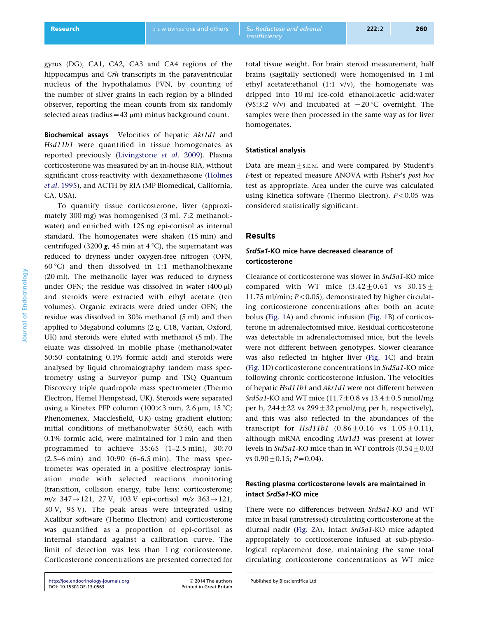gyrus (DG), CA1, CA2, CA3 and CA4 regions of the hippocampus and Crh transcripts in the paraventricular nucleus of the hypothalamus PVN, by counting of the number of silver grains in each region by a blinded observer, reporting the mean counts from six randomly selected areas (radius $=43 \mu m$ ) minus background count.

Biochemical assays Velocities of hepatic Akr1d1 and Hsd11b1 were quantified in tissue homogenates as reported previously [\(Livingstone](#page-10-0) et al. 2009). Plasma corticosterone was measured by an in-house RIA, without significant cross-reactivity with dexamethasone ([Holmes](#page-10-0) et al[. 1995\)](#page-10-0), and ACTH by RIA (MP Biomedical, California, CA, USA).

To quantify tissue corticosterone, liver (approximately 300 mg) was homogenised (3 ml, 7:2 methanol: water) and enriched with 125 ng epi-cortisol as internal standard. The homogenates were shaken (15 min) and centrifuged (3200  $\boldsymbol{g}$ , 45 min at 4 °C), the supernatant was reduced to dryness under oxygen-free nitrogen (OFN, 60 °C) and then dissolved in 1:1 methanol:hexane (20 ml). The methanolic layer was reduced to dryness under OFN; the residue was dissolved in water  $(400 \mu l)$ and steroids were extracted with ethyl acetate (ten volumes). Organic extracts were dried under OFN; the residue was dissolved in 30% methanol (5 ml) and then applied to Megabond columns (2 g, C18, Varian, Oxford, UK) and steroids were eluted with methanol (5 ml). The eluate was dissolved in mobile phase (methanol:water 50:50 containing 0.1% formic acid) and steroids were analysed by liquid chromatography tandem mass spectrometry using a Surveyor pump and TSQ Quantum Discovery triple quadropole mass spectrometer (Thermo Electron, Hemel Hempstead, UK). Steroids were separated using a Kinetex PFP column ( $100\times3$  mm,  $2.6$  µm,  $15$  °C; Phenomenex, Macclesfield, UK) using gradient elution; initial conditions of methanol:water 50:50, each with 0.1% formic acid, were maintained for 1 min and then programmed to achieve 35:65 (1–2.5 min), 30:70 (2.5–6 min) and 10:90 (6–6.5 min). The mass spectrometer was operated in a positive electrospray ionisation mode with selected reactions monitoring (transition, collision energy, tube lens: corticosterone;  $m/z$  347 $\rightarrow$ 121, 27 V, 103 V epi-cortisol  $m/z$  363 $\rightarrow$ 121, 30 V, 95 V). The peak areas were integrated using Xcalibur software (Thermo Electron) and corticosterone was quantified as a proportion of epi-cortisol as internal standard against a calibration curve. The limit of detection was less than 1 ng corticosterone. Corticosterone concentrations are presented corrected for total tissue weight. For brain steroid measurement, half brains (sagitally sectioned) were homogenised in 1 ml ethyl acetate: ethanol  $(1:1 \text{ v/v})$ , the homogenate was dripped into 10 ml ice-cold ethanol:acetic acid:water (95:3:2 v/v) and incubated at  $-20$  °C overnight. The samples were then processed in the same way as for liver homogenates.

### Statistical analysis

Data are mean $\pm$ s.E.M. and were compared by Student's t-test or repeated measure ANOVA with Fisher's post hoc test as appropriate. Area under the curve was calculated using Kinetica software (Thermo Electron).  $P < 0.05$  was considered statistically significant.

### Results

# Srd5a1-KO mice have decreased clearance of corticosterone

Clearance of corticosterone was slower in Srd5a1-KO mice compared with WT mice  $(3.42\pm0.61$  vs  $30.15\pm$ 11.75 ml/min;  $P < 0.05$ ), demonstrated by higher circulating corticosterone concentrations after both an acute bolus [\(Fig. 1](#page-5-0)A) and chronic infusion ([Fig. 1B](#page-5-0)) of corticosterone in adrenalectomised mice. Residual corticosterone was detectable in adrenalectomised mice, but the levels were not different between genotypes. Slower clearance was also reflected in higher liver ([Fig. 1](#page-5-0)C) and brain ([Fig. 1D](#page-5-0)) corticosterone concentrations in Srd5a1-KO mice following chronic corticosterone infusion. The velocities of hepatic Hsd11b1 and Akr1d1 were not different between *Srd5a1*-KO and WT mice  $(11.7 \pm 0.8 \text{ vs } 13.4 \pm 0.5 \text{ nmol/mg})$ per h,  $244 \pm 22$  vs  $299 \pm 32$  pmol/mg per h, respectively), and this was also reflected in the abundances of the transcript for Hsd11b1  $(0.86 \pm 0.16 \text{ vs } 1.05 \pm 0.11)$ , although mRNA encoding Akr1d1 was present at lower levels in *Srd5a1*-KO mice than in WT controls  $(0.54\pm0.03$ vs  $0.90 \pm 0.15$ ;  $P = 0.04$ ).

# Resting plasma corticosterone levels are maintained in intact Srd5a1-KO mice

There were no differences between Srd5a1-KO and WT mice in basal (unstressed) circulating corticosterone at the diurnal nadir [\(Fig. 2A](#page-6-0)). Intact Srd5a1-KO mice adapted appropriately to corticosterone infused at sub-physiological replacement dose, maintaining the same total circulating corticosterone concentrations as WT mice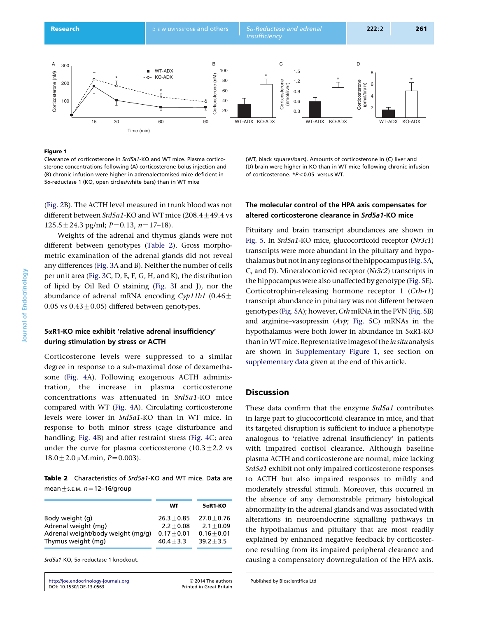<span id="page-5-0"></span>

#### Figure 1

Clearance of corticosterone in Srd5a1-KO and WT mice. Plasma corticosterone concentrations following (A) corticosterone bolus injection and (B) chronic infusion were higher in adrenalectomised mice deficient in 5a-reductase 1 (KO, open circles/white bars) than in WT mice

([Fig. 2B](#page-6-0)). The ACTH level measured in trunk blood was not different between  $Srd5a1$ -KO and WT mice (208.4  $\pm$  49.4 vs  $125.5 \pm 24.3$  pg/ml;  $P=0.13$ ,  $n=17-18$ ).

Weights of the adrenal and thymus glands were not different between genotypes (Table 2). Gross morphometric examination of the adrenal glands did not reveal any differences ([Fig. 3A](#page-7-0) and B). Neither the number of cells per unit area ([Fig. 3C](#page-7-0), D, E, F, G, H, and K), the distribution of lipid by Oil Red O staining ([Fig. 3](#page-7-0)I and J), nor the abundance of adrenal mRNA encoding Cyp11b1 (0.46 $\pm$ 0.05 vs  $0.43\pm0.05$ ) differed between genotypes.

# 5aR1-KO mice exhibit 'relative adrenal insufficiency' during stimulation by stress or ACTH

Corticosterone levels were suppressed to a similar degree in response to a sub-maximal dose of dexamethasone [\(Fig. 4A](#page-8-0)). Following exogenous ACTH administration, the increase in plasma corticosterone concentrations was attenuated in Srd5a1-KO mice compared with WT [\(Fig. 4](#page-8-0)A). Circulating corticosterone levels were lower in Srd5a1-KO than in WT mice, in response to both minor stress (cage disturbance and handling; [Fig. 4](#page-8-0)B) and after restraint stress ([Fig. 4C](#page-8-0); area under the curve for plasma corticosterone  $(10.3 \pm 2.2 \text{ vs }$  $18.0 \pm 2.0 \mu M \cdot min$ ,  $P = 0.003$ ).

Table 2 Characteristics of Srd5a1-KO and WT mice. Data are mean $\pm$ s.e.m. n=12–16/group

|                                   | wт            | $5\alpha$ R1-KO |
|-----------------------------------|---------------|-----------------|
| Body weight (g)                   | $26.3 + 0.85$ | $27.0 + 0.76$   |
| Adrenal weight (mg)               | $2.2 + 0.08$  | $2.1 + 0.09$    |
| Adrenal weight/body weight (mg/g) | $0.17 + 0.01$ | $0.16 + 0.01$   |
| Thymus weight (mg)                | $40.4 + 3.3$  | $39.2 + 3.5$    |

Srd5a1-KO, 5a-reductase 1 knockout.

(WT, black squares/bars). Amounts of corticosterone in (C) liver and (D) brain were higher in KO than in WT mice following chronic infusion of corticosterone. \* P<0.05 versus WT.

# The molecular control of the HPA axis compensates for altered corticosterone clearance in Srd5a1-KO mice

Pituitary and brain transcript abundances are shown in [Fig. 5.](#page-8-0) In Srd5a1-KO mice, glucocorticoid receptor (Nr3c1) transcripts were more abundant in the pituitary and hypothalamus but not in any regions of the hippocampus (Fig. 5A, C, and D). Mineralocorticoid receptor (Nr3c2) transcripts in the hippocampus were also unaffected by genotype ([Fig. 5E](#page-8-0)). Corticotrophin-releasing hormone receptor 1 (Crh-r1) transcript abundance in pituitary was not different between genotypes ([Fig. 5A](#page-8-0)); however, Crh mRNA in the PVN [\(Fig. 5](#page-8-0)B) and arginine-vasopressin  $(Avp; Fig. 5C)$  $(Avp; Fig. 5C)$  $(Avp; Fig. 5C)$  mRNAs in the hypothalamus were both lower in abundance in 5aR1-KO than in WT mice. Representative images of the *in situ* analysis are shown in [Supplementary Figure 1,](http://joe.endocrinology-journals.org/cgi/content/full/JOE-13-0563/DC1) see section on [supplementary data](#page-9-0) given at the end of this article.

# **Discussion**

These data confirm that the enzyme Srd5a1 contributes in large part to glucocorticoid clearance in mice, and that its targeted disruption is sufficient to induce a phenotype analogous to 'relative adrenal insufficiency' in patients with impaired cortisol clearance. Although baseline plasma ACTH and corticosterone are normal, mice lacking Srd5a1 exhibit not only impaired corticosterone responses to ACTH but also impaired responses to mildly and moderately stressful stimuli. Moreover, this occurred in the absence of any demonstrable primary histological abnormality in the adrenal glands and was associated with alterations in neuroendocrine signalling pathways in the hypothalamus and pituitary that are most readily explained by enhanced negative feedback by corticosterone resulting from its impaired peripheral clearance and causing a compensatory downregulation of the HPA axis.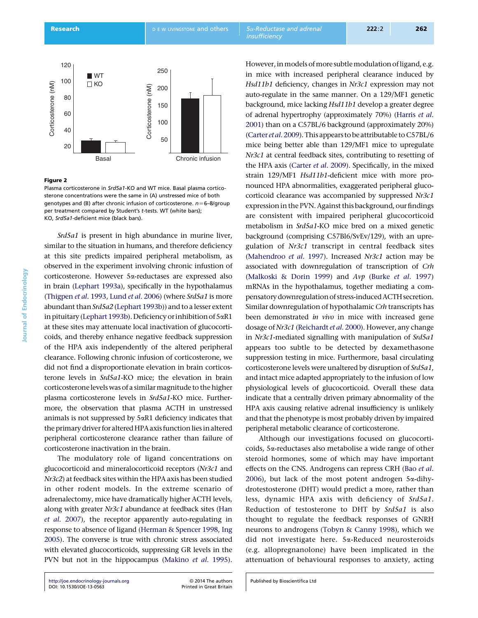<span id="page-6-0"></span>

#### Figure 2

Plasma corticosterone in Srd5a1-KO and WT mice. Basal plasma corticosterone concentrations were the same in (A) unstressed mice of both genotypes and (B) after chronic infusion of corticosterone.  $n=6-8/q$ roup per treatment compared by Student's t-tests. WT (white bars); KO, Srd5a1-deficient mice (black bars).

Srd5a1 is present in high abundance in murine liver, similar to the situation in humans, and therefore deficiency at this site predicts impaired peripheral metabolism, as observed in the experiment involving chronic infustion of corticosterone. However 5a-reductases are expressed also in brain ([Lephart 1993a\)](#page-10-0), specifically in the hypothalamus ([Thigpen](#page-10-0) et al. 1993, Lund et al[. 2006](#page-10-0)) (where Srd5a1 is more abundant than Srd5a2 ([Lephart 1993b\)](#page-10-0)) and to a lesser extent in pituitary (Lephart 1993b). Deficiency or inhibition of  $5\alpha R1$ at these sites may attenuate local inactivation of glucocorticoids, and thereby enhance negative feedback suppression of the HPA axis independently of the altered peripheral clearance. Following chronic infusion of corticosterone, we did not find a disproportionate elevation in brain corticosterone levels in Srd5a1-KO mice; the elevation in brain corticosterone levels was of a similar magnitude to the higher plasma corticosterone levels in Srd5a1-KO mice. Furthermore, the observation that plasma ACTH in unstressed animals is not suppressed by 5aR1 deficiency indicates that the primary driver for altered HPA axis function lies in altered peripheral corticosterone clearance rather than failure of corticosterone inactivation in the brain.

The modulatory role of ligand concentrations on glucocorticoid and mineralocorticoid receptors (Nr3c1 and Nr3c2) at feedback sites within the HPA axis has been studied in other rodent models. In the extreme scenario of adrenalectomy, mice have dramatically higher ACTH levels, along with greater Nr3c1 abundance at feedback sites [\(Han](#page-9-0) et al[. 2007\)](#page-9-0), the receptor apparently auto-regulating in response to absence of ligand [\(Herman & Spencer 1998](#page-9-0), [Ing](#page-10-0) [2005\)](#page-10-0). The converse is true with chronic stress associated with elevated glucocorticoids, suppressing GR levels in the PVN but not in the hippocampus ([Makino](#page-10-0) et al. 1995).

However, in models of more subtle modulation of ligand, e.g. in mice with increased peripheral clearance induced by Hsd11b1 deficiency, changes in Nr3c1 expression may not auto-regulate in the same manner. On a 129/MF1 genetic background, mice lacking Hsd11b1 develop a greater degree of adrenal hypertrophy (approximately 70%) [\(Harris](#page-9-0) et al. [2001\)](#page-9-0) than on a C57BL/6 background (approximately 20%) ([Carter](#page-9-0) *et al.* 2009). This appears to be attributable to  $C57BL/6$ mice being better able than 129/MF1 mice to upregulate Nr3c1 at central feedback sites, contributing to resetting of the HPA axis [\(Carter](#page-9-0) et al. 2009). Specifically, in the mixed strain 129/MF1 Hsd11b1-deficient mice with more pronounced HPA abnormalities, exaggerated peripheral glucocorticoid clearance was accompanied by suppressed Nr3c1 expression in the PVN. Against this background, our findings are consistent with impaired peripheral glucocorticoid metabolism in Srd5a1-KO mice bred on a mixed genetic background (comprising C57Bl6/SvEv/129), with an upregulation of Nr3c1 transcript in central feedback sites ([Mahendroo](#page-10-0) et al. 1997). Increased Nr3c1 action may be associated with downregulation of transcription of Crh ([Malkoski & Dorin 1999\)](#page-10-0) and Avp (Burke et al[. 1997](#page-9-0)) mRNAs in the hypothalamus, together mediating a compensatory downregulation of stress-induced ACTH secretion. Similar downregulation of hypothalamic Crh transcripts has been demonstrated *in vivo* in mice with increased gene dosage of Nr3c1 ([Reichardt](#page-10-0) et al. 2000). However, any change in Nr3c1-mediated signalling with manipulation of Srd5a1 appears too subtle to be detected by dexamethasone suppression testing in mice. Furthermore, basal circulating corticosterone levels were unaltered by disruption of Srd5a1, and intact mice adapted appropriately to the infusion of low physiological levels of glucocorticoid. Overall these data indicate that a centrally driven primary abnormality of the HPA axis causing relative adrenal insufficiency is unlikely and that the phenotype is most probably driven by impaired peripheral metabolic clearance of corticosterone.

Although our investigations focused on glucocorticoids, 5a-reductases also metabolise a wide range of other steroid hormones, some of which may have important effects on the CNS. Androgens can repress CRH (Bao [et al](#page-9-0). [2006](#page-9-0)), but lack of the most potent androgen  $5\alpha$ -dihydrotestosterone (DHT) would predict a more, rather than less, dynamic HPA axis with deficiency of Srd5a1. Reduction of testosterone to DHT by Srd5a1 is also thought to regulate the feedback responses of GNRH neurons to androgens ([Tobyn & Canny 1998\)](#page-10-0), which we did not investigate here. 5a-Reduced neurosteroids (e.g. allopregnanolone) have been implicated in the attenuation of behavioural responses to anxiety, acting

<http://joe.endocrinology-journals.org> [DOI: 10.1530/JOE-13-0563](http://dx.doi.org/10.1530/JOE-13-0563)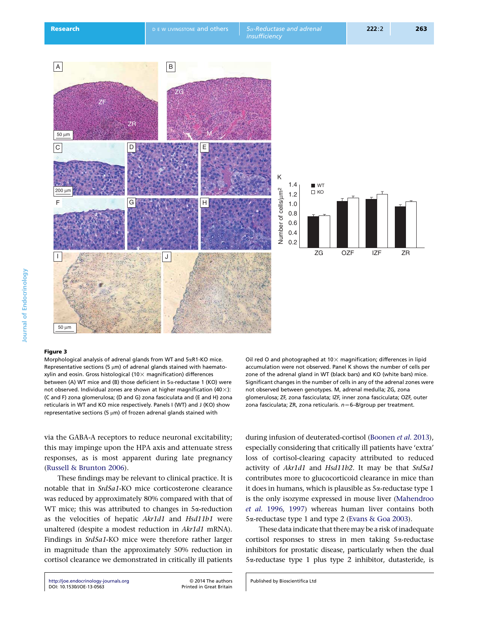<span id="page-7-0"></span>



# **Journal of Endocrinology** Journal of Endocrinology

### Figure 3

Morphological analysis of adrenal glands from WT and 5aR1-KO mice. Representative sections (5  $\mu$ m) of adrenal glands stained with haematoxylin and eosin. Gross histological (10 $\times$  magnification) differences between (A) WT mice and (B) those deficient in 5a-reductase 1 (KO) were not observed. Individual zones are shown at higher magnification (40 $\times$ ): (C and F) zona glomerulosa; (D and G) zona fasciculata and (E and H) zona reticularis in WT and KO mice respectively. Panels I (WT) and J (KO) show representative sections (5  $\mu$ m) of frozen adrenal glands stained with

via the GABA-A receptors to reduce neuronal excitability; this may impinge upon the HPA axis and attenuate stress responses, as is most apparent during late pregnancy ([Russell & Brunton 2006](#page-10-0)).

These findings may be relevant to clinical practice. It is notable that in Srd5a1-KO mice corticosterone clearance was reduced by approximately 80% compared with that of WT mice; this was attributed to changes in 5*a*-reduction as the velocities of hepatic Akr1d1 and Hsd11b1 were unaltered (despite a modest reduction in Akr1d1 mRNA). Findings in Srd5a1-KO mice were therefore rather larger in magnitude than the approximately 50% reduction in cortisol clearance we demonstrated in critically ill patients

Oil red O and photographed at 10 $\times$  magnification; differences in lipid accumulation were not observed. Panel K shows the number of cells per zone of the adrenal gland in WT (black bars) and KO (white bars) mice. Significant changes in the number of cells in any of the adrenal zones were not observed between genotypes. M, adrenal medulla; ZG, zona glomerulosa; ZF, zona fasciculata; IZF, inner zona fasciculata; OZF, outer zona fasciculata; ZR, zona reticularis.  $n=6-8$ /group per treatment.

during infusion of deuterated-cortisol [\(Boonen](#page-9-0) et al. 2013), especially considering that critically ill patients have 'extra' loss of cortisol-clearing capacity attributed to reduced activity of Akr1d1 and Hsd11b2. It may be that Srd5a1 contributes more to glucocorticoid clearance in mice than it does in humans, which is plausible as  $5\alpha$ -reductase type 1 is the only isozyme expressed in mouse liver [\(Mahendroo](#page-10-0) et al[. 1996,](#page-10-0) [1997](#page-10-0)) whereas human liver contains both 5a-reductase type 1 and type 2 ([Evans & Goa 2003\)](#page-9-0).  $\frac{3}{26}$  - 12<br>  $\frac{3}{26}$  - 13<br>  $\frac{3}{26}$  - 0.8<br>  $\frac{2}{26}$  - 0.8<br>  $\frac{2}{26}$  - 0.2<br>  $\frac{2}{26}$  - 0.2<br>  $\frac{2}{26}$  - 0.2<br>  $\frac{2}{26}$  - 0.2<br>  $\frac{2}{26}$  - 0.2<br>  $\frac{2}{26}$  - 0.2<br>  $\frac{2}{26}$  - 0.2<br>  $\frac{2}{26}$  - 0.2<br>  $\frac{2}{2$ 

These data indicate that there may be a risk of inadequate cortisol responses to stress in men taking 5a-reductase inhibitors for prostatic disease, particularly when the dual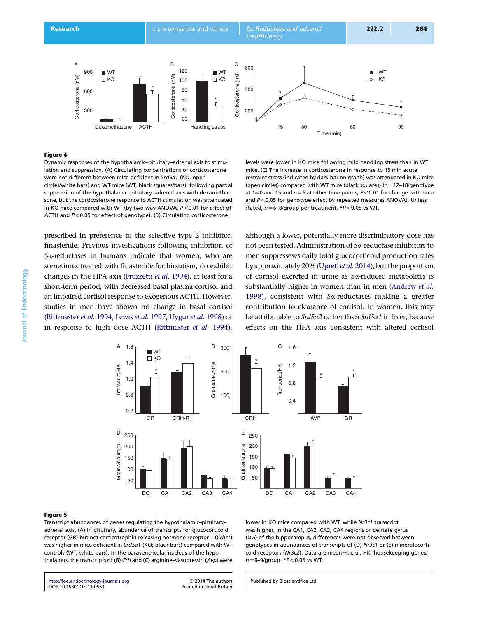<span id="page-8-0"></span>**Research EXECUTE:** DE W LIVINGSTONE and others  $S_{\alpha}$ -Reductase and adrenal

15

\*

400

 $200$ 

600



#### Figure 4

Dynamic responses of the hypothalamic–pituitary–adrenal axis to stimulation and suppression. (A) Circulating concentrations of corticosterone were not different between mice deficient in Srd5a1 (KO, open circles/white bars) and WT mice (WT, black squares/bars), following partial suppression of the hypothalamic–pituitary–adrenal axis with dexamethasone, but the corticosterone response to ACTH stimulation was attenuated in KO mice compared with WT (by two-way ANOVA,  $P < 0.01$  for effect of ACTH and  $P < 0.05$  for effect of genotype). (B) Circulating corticosterone

levels were lower in KO mice following mild handling stress than in WT mice. (C) The increase in corticosterone in response to 15 min acute restraint stress (indicated by dark bar on graph) was attenuated in KO mice (open circles) compared with WT mice (black squares) ( $n=12-18/g$ enotype at  $t=0$  and 15 and  $n=6$  at other time points; P < 0.01 for change with time and  $P < 0.05$  for genotype effect by repeated measures ANOVA). Unless stated,  $n=6-8$ /group per treatment. \* $P$ <0.05 vs WT.

30 60 90

- WT  $-0 - K0$ 

-8

Time (min)

prescribed in preference to the selective type 2 inhibitor, finasteride. Previous investigations following inhibition of 5a-reductases in humans indicate that women, who are sometimes treated with finasteride for hirsutism, do exhibit changes in the HPA axis [\(Fruzzetti](#page-9-0) et al. 1994), at least for a short-term period, with decreased basal plasma cortisol and an impaired cortisol response to exogenous ACTH. However, studies in men have shown no change in basal cortisol ([Rittmaster](#page-10-0) et al. 1994, Lewis et al[. 1997](#page-10-0), [Uygur](#page-10-0) et al. 1998) or in response to high dose ACTH ([Rittmaster](#page-10-0) et al. 1994),

although a lower, potentially more discriminatory dose has not been tested. Administration of 5a-reductase inhibitors to men suppresseses daily total glucocorticoid production rates by approximately 20% ([Upreti](#page-10-0) et al. 2014), but the proportion of cortisol excreted in urine as 5a-reduced metabolites is substantially higher in women than in men ([Andrew](#page-9-0) et al. [1998](#page-9-0)), consistent with  $5\alpha$ -reductases making a greater contribution to clearance of cortisol. In women, this may be attributable to Srd5a2 rather than Srd5a1 in liver, because effects on the HPA axis consistent with altered cortisol



#### Figure 5

Transcript abundances of genes regulating the hypothalamic–pituitary– adrenal axis. (A) In pituitary, abundance of transcripts for glucocorticoid receptor (GR) but not corticotrophin releasing hormone receptor 1 (Crhr1) was higher in mice deficient in Srd5a1 (KO; black bars) compared with WT controls (WT; white bars). In the paraventricular nucleus of the hypothalamus, the transcripts of (B) Crh and (C) arginine–vasopressin (Avp) were

lower in KO mice compared with WT, while Nr3c1 transcript was higher. In the CA1, CA2, CA3, CA4 regions or dentate gyrus (DG) of the hippocampus, differences were not observed between genotypes in abundances of transcripts of (D) Nr3c1 or (E) mineralocorticoid receptors (Nr3c2). Data are mean $\pm$ s.E.M., HK, housekeeping genes;  $n=6-9$ /group. \* $P < 0.05$  vs WT.

<http://joe.endocrinology-journals.org> [DOI: 10.1530/JOE-13-0563](http://dx.doi.org/10.1530/JOE-13-0563)

 2014 The authors Printed in Great Britain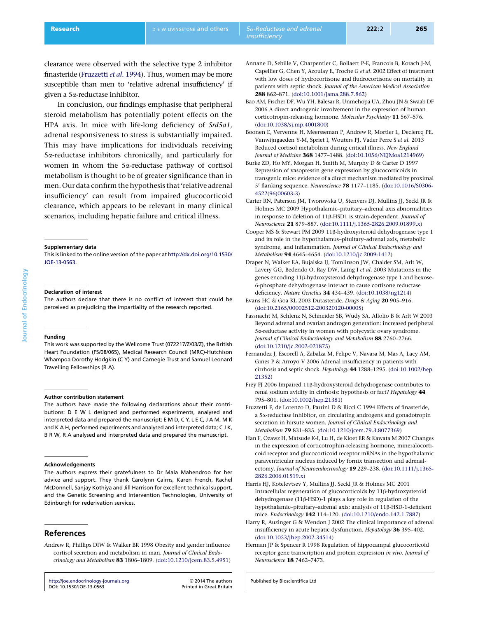<span id="page-9-0"></span>clearance were observed with the selective type 2 inhibitor finasteride (Fruzzetti et al. 1994). Thus, women may be more susceptible than men to 'relative adrenal insufficiency' if given a 5a-reductase inhibitor.

In conclusion, our findings emphasise that peripheral steroid metabolism has potentially potent effects on the HPA axis. In mice with life-long deficiency of Srd5a1, adrenal responsiveness to stress is substantially impaired. This may have implications for individuals receiving 5a-reductase inhibitors chronically, and particularly for women in whom the 5a-reductase pathway of cortisol metabolism is thought to be of greater significance than in men. Our data confirm the hypothesis that 'relative adrenal insufficiency' can result from impaired glucocorticoid clearance, which appears to be relevant in many clinical scenarios, including hepatic failure and critical illness.

#### Supplementary data

This is linked to the online version of the paper at [http://dx.doi.org/10.1530/](http://dx.doi.org/10.1530/JOE-13-0563) [JOE-13-0563](http://dx.doi.org/10.1530/JOE-13-0563).

#### Declaration of interest

The authors declare that there is no conflict of interest that could be perceived as prejudicing the impartiality of the research reported.

#### Funding

Journal of Endocrinology

**Journal of Endocrinology** 

This work was supported by the Wellcome Trust (072217/Z/03/Z), the British Heart Foundation (FS/08/065), Medical Research Council (MRC)-Hutchison Whampoa Dorothy Hodgkin (C Y) and Carnegie Trust and Samuel Leonard Travelling Fellowships (R A).

#### Author contribution statement

The authors have made the following declarations about their contributions: D E W L designed and performed experiments, analysed and interpreted data and prepared the manuscript; E M D, C Y, L E C, J A M, M K and K A H, performed experiments and analysed and interpreted data; C J K, B R W, R A analysed and interpreted data and prepared the manuscript.

#### Acknowledgements

The authors express their gratefulness to Dr Mala Mahendroo for her advice and support. They thank Carolynn Cairns, Karen French, Rachel McDonnell, Sanjay Kothiya and Jill Harrison for excellent technical support, and the Genetic Screening and Intervention Technologies, University of Edinburgh for rederivation services.

## References

Andrew R, Phillips DIW & Walker BR 1998 Obesity and gender influence cortisol secretion and metabolism in man. Journal of Clinical Endocrinology and Metabolism 83 1806–1809. ([doi:10.1210/jcem.83.5.4951\)](http://dx.doi.org/10.1210/jcem.83.5.4951) Annane D, Sebille V, Charpentier C, Bollaert P-E, Francois B, Korach J-M, Capellier G, Chen Y, Azoulay E, Troche G et al. 2002 Effect of treatment with low doses of hydrocortisone and fludrocortisone on mortality in patients with septic shock. Journal of the American Medical Association 288 862–871. ([doi:10.1001/jama.288.7.862](http://dx.doi.org/10.1001/jama.288.7.862))

Bao AM, Fischer DF, Wu YH, Balesar R, Unmehopa UA, Zhou JN & Swaab DF 2006 A direct androgenic involvement in the expression of human corticotropin-releasing hormone. Molecular Psychiatry 11 567–576. [\(doi:10.1038/sj.mp.4001800](http://dx.doi.org/10.1038/sj.mp.4001800))

Boonen E, Vervenne H, Meersseman P, Andrew R, Mortier L, Declercq PE, Vanwijngaeden Y-M, Spriet I, Wouters PJ, Vader Perre S et al. 2013 Reduced cortisol metabolism during critical illness. New England Journal of Medicine 368 1477–1488. ([doi:10.1056/NEJMoa1214969\)](http://dx.doi.org/10.1056/NEJMoa1214969)

Burke ZD, Ho MY, Morgan H, Smith M, Murphy D & Carter D 1997 Repression of vasopressin gene expression by glucocorticoids in transgenic mice: evidence of a direct mechanism mediated by proximal 5*<sup>0</sup>* flanking sequence. Neuroscience 78 1177–1185. ([doi:10.1016/S0306-](http://dx.doi.org/10.1016/S0306-4522(96)00603-3) [4522\(96\)00603-3\)](http://dx.doi.org/10.1016/S0306-4522(96)00603-3)

Carter RN, Paterson JM, Tworowska U, Stenvers DJ, Mullins JJ, Seckl JR & Holmes MC 2009 Hypothalamic–pituitary–adrenal axis abnormalities in response to deletion of 11ß-HSD1 is strain-dependent. Journal of Neuroscience 21 879–887. [\(doi:10.1111/j.1365-2826.2009.01899.x](http://dx.doi.org/10.1111/j.1365-2826.2009.01899.x))

Cooper MS & Stewart PM 2009 11ß-hydroxysteroid dehydrogenase type 1 and its role in the hypothalamus–pituitary–adrenal axis, metabolic syndrome, and inflammation. Journal of Clinical Endocrinology and Metabolism 94 4645–4654. [\(doi:10.1210/jc.2009-1412](http://dx.doi.org/10.1210/jc.2009-1412))

Draper N, Walker EA, Bujalska IJ, Tomlinson JW, Chalder SM, Arlt W, Lavery GG, Bedendo O, Ray DW, Laing I et al. 2003 Mutations in the genes encoding 11b-hydroxysteroid dehydrogenase type 1 and hexose-6-phosphate dehydrogenase interact to cause cortisone reductase deficiency. Nature Genetics 34 434–439. ([doi:10.1038/ng1214\)](http://dx.doi.org/10.1038/ng1214)

Evans HC & Goa KL 2003 Dutasteride. Drugs & Aging 20 905–916. [\(doi:10.2165/00002512-200320120-00005](http://dx.doi.org/10.2165/00002512-200320120-00005))

Fassnacht M, Schlenz N, Schneider SB, Wudy SA, Allolio B & Arlt W 2003 Beyond adrenal and ovarian androgen generation: increased peripheral 5a-reductase activity in women with polycystic ovary syndrome. Journal of Clinical Endocrinology and Metabolism 88 2760–2766. [\(doi:10.1210/jc.2002-021875](http://dx.doi.org/10.1210/jc.2002-021875))

Fernandez J, Escorell A, Zabalza M, Felipe V, Navasa M, Mas A, Lacy AM, Gines P & Arroyo V 2006 Adrenal insufficiency in patients with cirrhosis and septic shock. Hepatology 44 1288–1295. ([doi:10.1002/hep.](http://dx.doi.org/10.1002/hep.21352) [21352\)](http://dx.doi.org/10.1002/hep.21352)

Frey FJ 2006 Impaired 11b-hydroxysteroid dehydrogenase contributes to renal sodium avidity in cirrhosis: hypothesis or fact? Hepatology 44 795–801. ([doi:10.1002/hep.21381](http://dx.doi.org/10.1002/hep.21381))

Fruzzetti F, de Lorenzo D, Parrini D & Ricci C 1994 Effects of finasteride, a 5a-reductase inhibitor, on circulating androgens and gonadotropin secretion in hirsute women. Journal of Clinical Endocrinology and Metabolism 79 831–835. [\(doi:10.1210/jcem.79.3.8077369](http://dx.doi.org/10.1210/jcem.79.3.8077369))

Han F, Ozawz H, Matsude K-I, Lu H, de Kloet ER & Kawata M 2007 Changes in the expression of corticotrophin-releasing hormone, mineralocorticoid receptor and glucocorticoid receptor mRNAs in the hypothalamic paraventricular nucleus induced by fornix transection and adrenalectomy. Journal of Neuroendocrinology 19 229-238. ([doi:10.1111/j.1365-](http://dx.doi.org/10.1111/j.1365-2826.2006.01519.x) [2826.2006.01519.x\)](http://dx.doi.org/10.1111/j.1365-2826.2006.01519.x)

Harris HJ, Kotelevtsev Y, Mullins JJ, Seckl JR & Holmes MC 2001 Intracellular regeneration of glucocorticoids by 11b-hydroxysteroid dehydrogenase (11b-HSD)-1 plays a key role in regulation of the hypothalamic-pituitary-adrenal axis: analysis of 11ß-HSD-1-deficient mice. Endocrinology 142 114–120. [\(doi:10.1210/endo.142.1.7887\)](http://dx.doi.org/10.1210/endo.142.1.7887)

Harry R, Auzinger G & Wendon J 2002 The clinical importance of adrenal insufficiency in acute hepatic dysfunction. Hepatology 36 395–402. [\(doi:10.1053/jhep.2002.34514\)](http://dx.doi.org/10.1053/jhep.2002.34514)

Herman JP & Spencer R 1998 Regulation of hippocampal glucocorticoid receptor gene transcription and protein expression in vivo. Journal of Neuroscience 18 7462–7473.